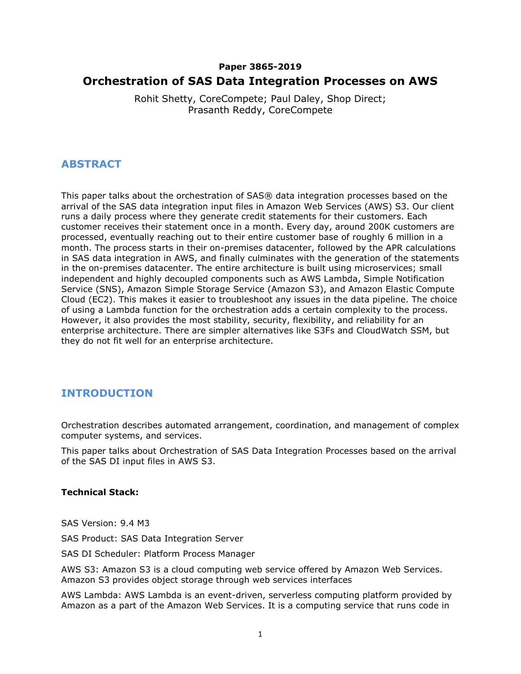#### **Paper 3865-2019**

# **Orchestration of SAS Data Integration Processes on AWS**

Rohit Shetty, CoreCompete; Paul Daley, Shop Direct; Prasanth Reddy, CoreCompete

### **ABSTRACT**

This paper talks about the orchestration of SAS® data integration processes based on the arrival of the SAS data integration input files in Amazon Web Services (AWS) S3. Our client runs a daily process where they generate credit statements for their customers. Each customer receives their statement once in a month. Every day, around 200K customers are processed, eventually reaching out to their entire customer base of roughly 6 million in a month. The process starts in their on-premises datacenter, followed by the APR calculations in SAS data integration in AWS, and finally culminates with the generation of the statements in the on-premises datacenter. The entire architecture is built using microservices; small independent and highly decoupled components such as AWS Lambda, Simple Notification Service (SNS), Amazon Simple Storage Service (Amazon S3), and Amazon Elastic Compute Cloud (EC2). This makes it easier to troubleshoot any issues in the data pipeline. The choice of using a Lambda function for the orchestration adds a certain complexity to the process. However, it also provides the most stability, security, flexibility, and reliability for an enterprise architecture. There are simpler alternatives like S3Fs and CloudWatch SSM, but they do not fit well for an enterprise architecture.

# **INTRODUCTION**

Orchestration describes automated arrangement, coordination, and management of complex computer systems, and services.

This paper talks about Orchestration of SAS Data Integration Processes based on the arrival of the SAS DI input files in AWS S3.

#### **Technical Stack:**

SAS Version: 9.4 M3

SAS Product: SAS Data Integration Server

SAS DI Scheduler: Platform Process Manager

AWS S3: Amazon S3 is a cloud computing web service offered by Amazon Web Services. Amazon S3 provides object storage through web services interfaces

AWS Lambda: AWS Lambda is an event-driven, serverless computing platform provided by Amazon as a part of the Amazon Web Services. It is a computing service that runs code in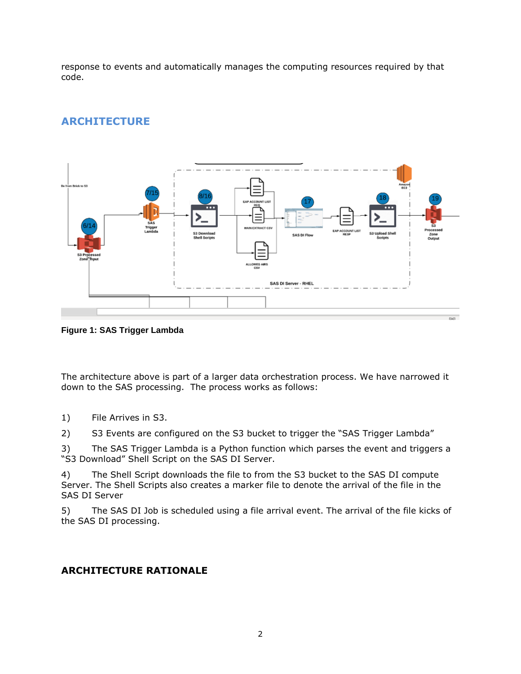response to events and automatically manages the computing resources required by that code.



# **ARCHITECTURE**

**Figure 1: SAS Trigger Lambda**

The architecture above is part of a larger data orchestration process. We have narrowed it down to the SAS processing. The process works as follows:

1) File Arrives in S3.

2) S3 Events are configured on the S3 bucket to trigger the "SAS Trigger Lambda"

3) The SAS Trigger Lambda is a Python function which parses the event and triggers a "S3 Download" Shell Script on the SAS DI Server.

4) The Shell Script downloads the file to from the S3 bucket to the SAS DI compute Server. The Shell Scripts also creates a marker file to denote the arrival of the file in the SAS DI Server

5) The SAS DI Job is scheduled using a file arrival event. The arrival of the file kicks of the SAS DI processing.

### **ARCHITECTURE RATIONALE**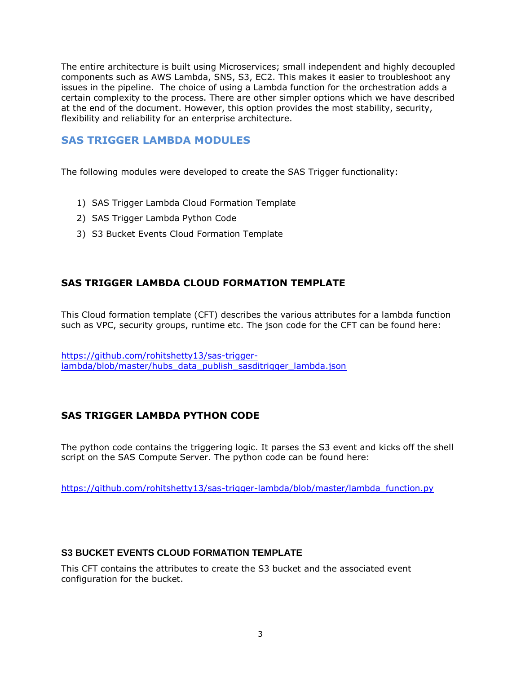The entire architecture is built using Microservices; small independent and highly decoupled components such as AWS Lambda, SNS, S3, EC2. This makes it easier to troubleshoot any issues in the pipeline. The choice of using a Lambda function for the orchestration adds a certain complexity to the process. There are other simpler options which we have described at the end of the document. However, this option provides the most stability, security, flexibility and reliability for an enterprise architecture.

### **SAS TRIGGER LAMBDA MODULES**

The following modules were developed to create the SAS Trigger functionality:

- 1) SAS Trigger Lambda Cloud Formation Template
- 2) SAS Trigger Lambda Python Code
- 3) S3 Bucket Events Cloud Formation Template

### **SAS TRIGGER LAMBDA CLOUD FORMATION TEMPLATE**

This Cloud formation template (CFT) describes the various attributes for a lambda function such as VPC, security groups, runtime etc. The json code for the CFT can be found here:

[https://github.com/rohitshetty13/sas-trigger](https://github.com/rohitshetty13/sas-trigger-lambda/blob/master/hubs_data_publish_sasditrigger_lambda.json)[lambda/blob/master/hubs\\_data\\_publish\\_sasditrigger\\_lambda.json](https://github.com/rohitshetty13/sas-trigger-lambda/blob/master/hubs_data_publish_sasditrigger_lambda.json)

### **SAS TRIGGER LAMBDA PYTHON CODE**

The python code contains the triggering logic. It parses the S3 event and kicks off the shell script on the SAS Compute Server. The python code can be found here:

[https://github.com/rohitshetty13/sas-trigger-lambda/blob/master/lambda\\_function.py](https://github.com/rohitshetty13/sas-trigger-lambda/blob/master/lambda_function.py)

#### **S3 BUCKET EVENTS CLOUD FORMATION TEMPLATE**

This CFT contains the attributes to create the S3 bucket and the associated event configuration for the bucket.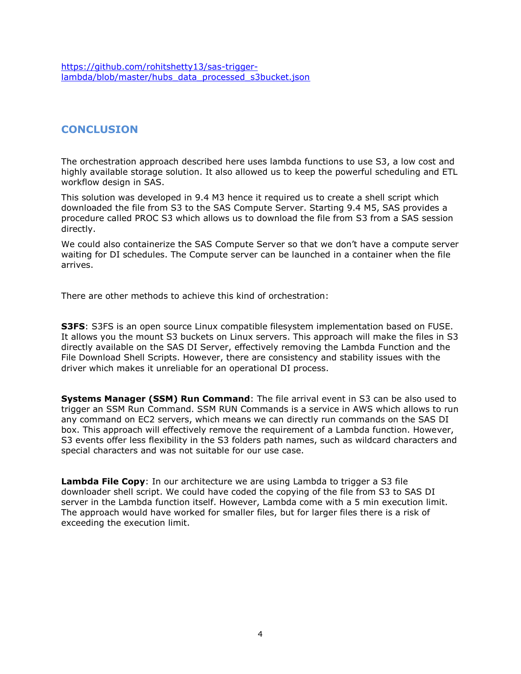[https://github.com/rohitshetty13/sas-trigger](https://github.com/rohitshetty13/sas-trigger-lambda/blob/master/hubs_data_processed_s3bucket.json)[lambda/blob/master/hubs\\_data\\_processed\\_s3bucket.json](https://github.com/rohitshetty13/sas-trigger-lambda/blob/master/hubs_data_processed_s3bucket.json)

# **CONCLUSION**

The orchestration approach described here uses lambda functions to use S3, a low cost and highly available storage solution. It also allowed us to keep the powerful scheduling and ETL workflow design in SAS.

This solution was developed in 9.4 M3 hence it required us to create a shell script which downloaded the file from S3 to the SAS Compute Server. Starting 9.4 M5, SAS provides a procedure called PROC S3 which allows us to download the file from S3 from a SAS session directly.

We could also containerize the SAS Compute Server so that we don't have a compute server waiting for DI schedules. The Compute server can be launched in a container when the file arrives.

There are other methods to achieve this kind of orchestration:

**S3FS**: S3FS is an open source Linux compatible filesystem implementation based on FUSE. It allows you the mount S3 buckets on Linux servers. This approach will make the files in S3 directly available on the SAS DI Server, effectively removing the Lambda Function and the File Download Shell Scripts. However, there are consistency and stability issues with the driver which makes it unreliable for an operational DI process.

**Systems Manager (SSM) Run Command**: The file arrival event in S3 can be also used to trigger an SSM Run Command. SSM RUN Commands is a service in AWS which allows to run any command on EC2 servers, which means we can directly run commands on the SAS DI box. This approach will effectively remove the requirement of a Lambda function. However, S3 events offer less flexibility in the S3 folders path names, such as wildcard characters and special characters and was not suitable for our use case.

**Lambda File Copy**: In our architecture we are using Lambda to trigger a S3 file downloader shell script. We could have coded the copying of the file from S3 to SAS DI server in the Lambda function itself. However, Lambda come with a 5 min execution limit. The approach would have worked for smaller files, but for larger files there is a risk of exceeding the execution limit.